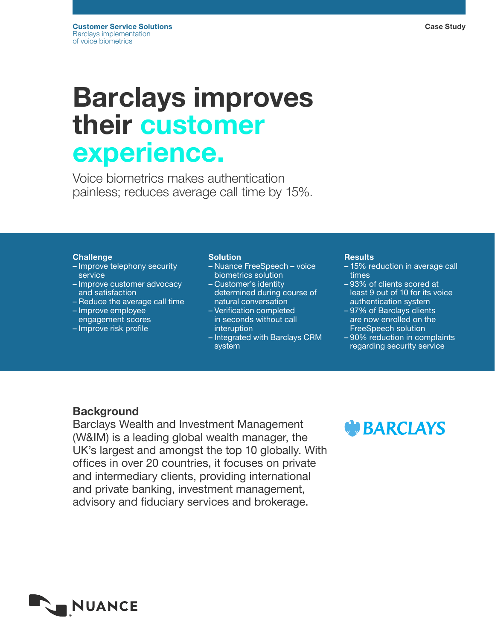# Barclays improves their customer experience.

Voice biometrics makes authentication painless; reduces average call time by 15%.

#### **Challenge**

- Improve telephony security **service**
- Improve customer advocacy and satisfaction
- Reduce the average call time
- Improve employee
- engagement scores
- Improve risk profile

#### **Solution**

- Nuance FreeSpeech voice biometrics solution
- Customer's identity determined during course of
- natural conversation – Verification completed
- in seconds without call interuption
- Integrated with Barclays CRM system

#### **Results**

- 15% reduction in average call times
- 93% of clients scored at least 9 out of 10 for its voice authentication system
- 97% of Barclays clients are now enrolled on the FreeSpeech solution
- 90% reduction in complaints regarding security service

### **Background**

Barclays Wealth and Investment Management (W&IM) is a leading global wealth manager, the UK's largest and amongst the top 10 globally. With offices in over 20 countries, it focuses on private and intermediary clients, providing international and private banking, investment management, advisory and fiduciary services and brokerage.

## **W**BARCLAYS

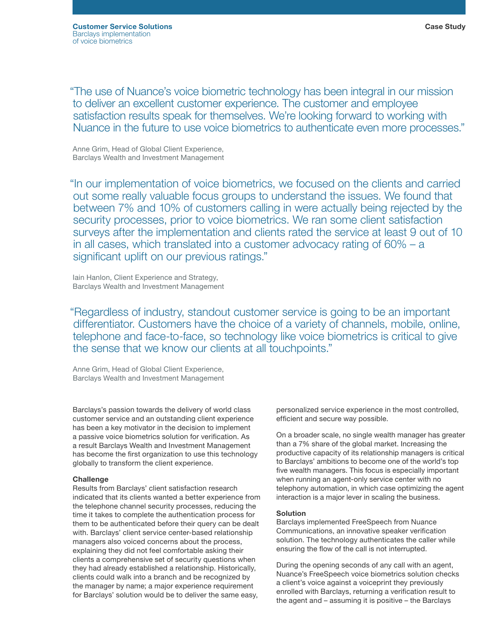"The use of Nuance's voice biometric technology has been integral in our mission to deliver an excellent customer experience. The customer and employee satisfaction results speak for themselves. We're looking forward to working with Nuance in the future to use voice biometrics to authenticate even more processes."

Anne Grim, Head of Global Client Experience, Barclays Wealth and Investment Management

"In our implementation of voice biometrics, we focused on the clients and carried out some really valuable focus groups to understand the issues. We found that between 7% and 10% of customers calling in were actually being rejected by the security processes, prior to voice biometrics. We ran some client satisfaction surveys after the implementation and clients rated the service at least 9 out of 10 in all cases, which translated into a customer advocacy rating of 60% – a significant uplift on our previous ratings."

Iain Hanlon, Client Experience and Strategy, Barclays Wealth and Investment Management

"Regardless of industry, standout customer service is going to be an important differentiator. Customers have the choice of a variety of channels, mobile, online, telephone and face-to-face, so technology like voice biometrics is critical to give the sense that we know our clients at all touchpoints."

Anne Grim, Head of Global Client Experience, Barclays Wealth and Investment Management

Barclays's passion towards the delivery of world class customer service and an outstanding client experience has been a key motivator in the decision to implement a passive voice biometrics solution for verification. As a result Barclays Wealth and Investment Management has become the first organization to use this technology globally to transform the client experience.

#### **Challenge**

Results from Barclays' client satisfaction research indicated that its clients wanted a better experience from the telephone channel security processes, reducing the time it takes to complete the authentication process for them to be authenticated before their query can be dealt with. Barclays' client service center-based relationship managers also voiced concerns about the process, explaining they did not feel comfortable asking their clients a comprehensive set of security questions when they had already established a relationship. Historically, clients could walk into a branch and be recognized by the manager by name; a major experience requirement for Barclays' solution would be to deliver the same easy,

personalized service experience in the most controlled, efficient and secure way possible.

On a broader scale, no single wealth manager has greater than a 7% share of the global market. Increasing the productive capacity of its relationship managers is critical to Barclays' ambitions to become one of the world's top five wealth managers. This focus is especially important when running an agent-only service center with no telephony automation, in which case optimizing the agent interaction is a major lever in scaling the business.

#### Solution

Barclays implemented FreeSpeech from Nuance Communications, an innovative speaker verification solution. The technology authenticates the caller while ensuring the flow of the call is not interrupted.

During the opening seconds of any call with an agent, Nuance's FreeSpeech voice biometrics solution checks a client's voice against a voiceprint they previously enrolled with Barclays, returning a verification result to the agent and – assuming it is positive – the Barclays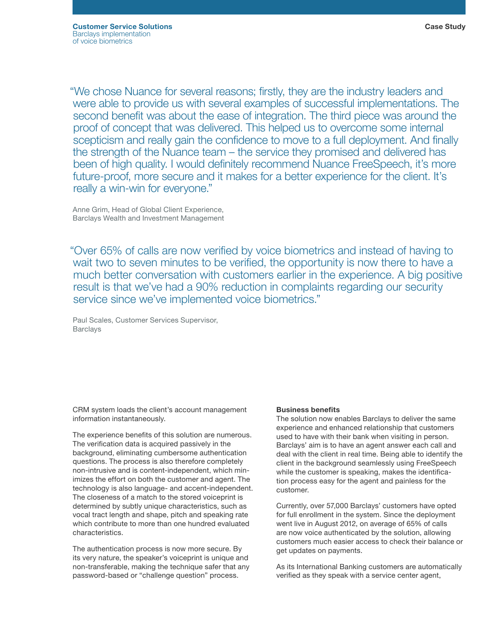"We chose Nuance for several reasons; firstly, they are the industry leaders and were able to provide us with several examples of successful implementations. The second benefit was about the ease of integration. The third piece was around the proof of concept that was delivered. This helped us to overcome some internal scepticism and really gain the confidence to move to a full deployment. And finally the strength of the Nuance team – the service they promised and delivered has been of high quality. I would definitely recommend Nuance FreeSpeech, it's more future-proof, more secure and it makes for a better experience for the client. It's really a win-win for everyone."

Anne Grim, Head of Global Client Experience, Barclays Wealth and Investment Management

"Over 65% of calls are now verified by voice biometrics and instead of having to wait two to seven minutes to be verified, the opportunity is now there to have a much better conversation with customers earlier in the experience. A big positive result is that we've had a 90% reduction in complaints regarding our security service since we've implemented voice biometrics."

Paul Scales, Customer Services Supervisor, **Barclays** 

CRM system loads the client's account management information instantaneously.

The experience benefits of this solution are numerous. The verification data is acquired passively in the background, eliminating cumbersome authentication questions. The process is also therefore completely non-intrusive and is content-independent, which minimizes the effort on both the customer and agent. The technology is also language- and accent-independent. The closeness of a match to the stored voiceprint is determined by subtly unique characteristics, such as vocal tract length and shape, pitch and speaking rate which contribute to more than one hundred evaluated characteristics.

The authentication process is now more secure. By its very nature, the speaker's voiceprint is unique and non-transferable, making the technique safer that any password-based or "challenge question" process.

#### Business benefits

The solution now enables Barclays to deliver the same experience and enhanced relationship that customers used to have with their bank when visiting in person. Barclays' aim is to have an agent answer each call and deal with the client in real time. Being able to identify the client in the background seamlessly using FreeSpeech while the customer is speaking, makes the identification process easy for the agent and painless for the customer.

Currently, over 57,000 Barclays' customers have opted for full enrollment in the system. Since the deployment went live in August 2012, on average of 65% of calls are now voice authenticated by the solution, allowing customers much easier access to check their balance or get updates on payments.

As its International Banking customers are automatically verified as they speak with a service center agent,